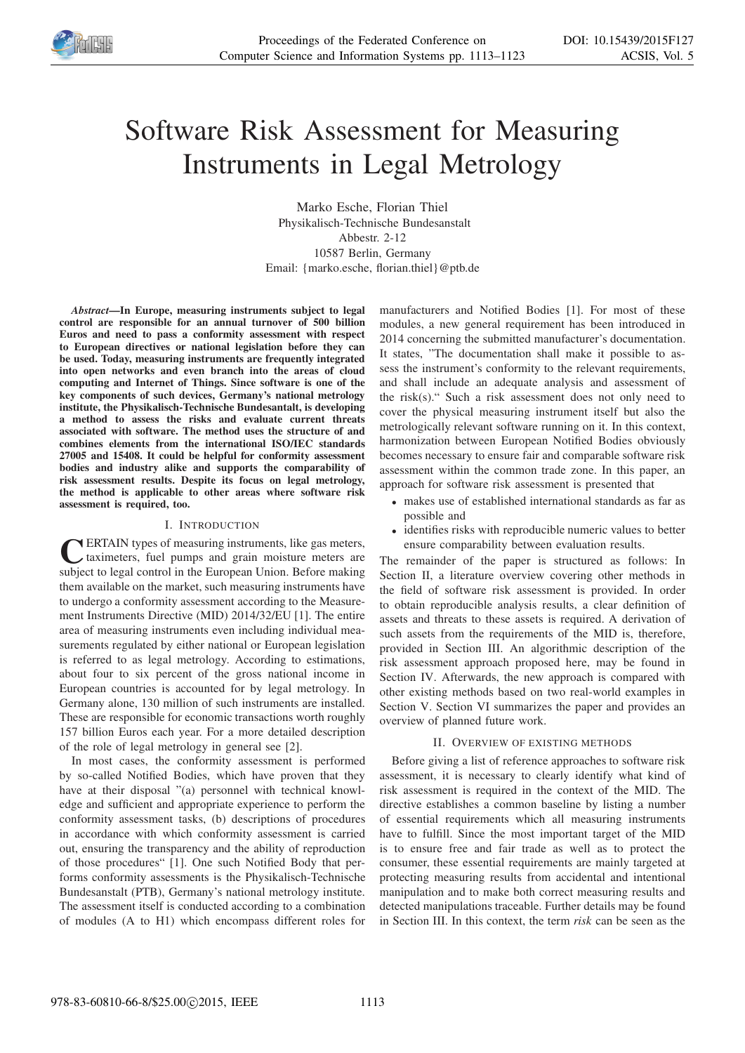

# Software Risk Assessment for Measuring Instruments in Legal Metrology

Marko Esche, Florian Thiel Physikalisch-Technische Bundesanstalt Abbestr. 2-12 10587 Berlin, Germany Email: {marko.esche, florian.thiel}@ptb.de

*Abstract*—In Europe, measuring instruments subject to legal control are responsible for an annual turnover of 500 billion Euros and need to pass a conformity assessment with respect to European directives or national legislation before they can be used. Today, measuring instruments are frequently integrated into open networks and even branch into the areas of cloud computing and Internet of Things. Since software is one of the key components of such devices, Germany's national metrology institute, the Physikalisch-Technische Bundesantalt, is developing a method to assess the risks and evaluate current threats associated with software. The method uses the structure of and combines elements from the international ISO/IEC standards 27005 and 15408. It could be helpful for conformity assessment bodies and industry alike and supports the comparability of risk assessment results. Despite its focus on legal metrology, the method is applicable to other areas where software risk assessment is required, too.

#### I. INTRODUCTION

**CERTAIN** types of measuring instruments, like gas meters, taximeters, fuel pumps and grain moisture meters are subject to legal control in the European Union. Before making **ERTAIN** types of measuring instruments, like gas meters, taximeters, fuel pumps and grain moisture meters are them available on the market, such measuring instruments have to undergo a conformity assessment according to the Measurement Instruments Directive (MID) 2014/32/EU [1]. The entire area of measuring instruments even including individual measurements regulated by either national or European legislation is referred to as legal metrology. According to estimations, about four to six percent of the gross national income in European countries is accounted for by legal metrology. In Germany alone, 130 million of such instruments are installed. These are responsible for economic transactions worth roughly 157 billion Euros each year. For a more detailed description of the role of legal metrology in general see [2].

In most cases, the conformity assessment is performed by so-called Notified Bodies, which have proven that they have at their disposal "(a) personnel with technical knowledge and sufficient and appropriate experience to perform the conformity assessment tasks, (b) descriptions of procedures in accordance with which conformity assessment is carried out, ensuring the transparency and the ability of reproduction of those procedures" [1]. One such Notified Body that performs conformity assessments is the Physikalisch-Technische Bundesanstalt (PTB), Germany's national metrology institute. The assessment itself is conducted according to a combination of modules (A to H1) which encompass different roles for manufacturers and Notified Bodies [1]. For most of these modules, a new general requirement has been introduced in 2014 concerning the submitted manufacturer's documentation. It states, "The documentation shall make it possible to assess the instrument's conformity to the relevant requirements, and shall include an adequate analysis and assessment of the risk(s)." Such a risk assessment does not only need to cover the physical measuring instrument itself but also the metrologically relevant software running on it. In this context, harmonization between European Notified Bodies obviously becomes necessary to ensure fair and comparable software risk assessment within the common trade zone. In this paper, an approach for software risk assessment is presented that

- makes use of established international standards as far as possible and
- identifies risks with reproducible numeric values to better ensure comparability between evaluation results.

The remainder of the paper is structured as follows: In Section II, a literature overview covering other methods in the field of software risk assessment is provided. In order to obtain reproducible analysis results, a clear definition of assets and threats to these assets is required. A derivation of such assets from the requirements of the MID is, therefore, provided in Section III. An algorithmic description of the risk assessment approach proposed here, may be found in Section IV. Afterwards, the new approach is compared with other existing methods based on two real-world examples in Section V. Section VI summarizes the paper and provides an overview of planned future work.

## II. OVERVIEW OF EXISTING METHODS

Before giving a list of reference approaches to software risk assessment, it is necessary to clearly identify what kind of risk assessment is required in the context of the MID. The directive establishes a common baseline by listing a number of essential requirements which all measuring instruments have to fulfill. Since the most important target of the MID is to ensure free and fair trade as well as to protect the consumer, these essential requirements are mainly targeted at protecting measuring results from accidental and intentional manipulation and to make both correct measuring results and detected manipulations traceable. Further details may be found in Section III. In this context, the term *risk* can be seen as the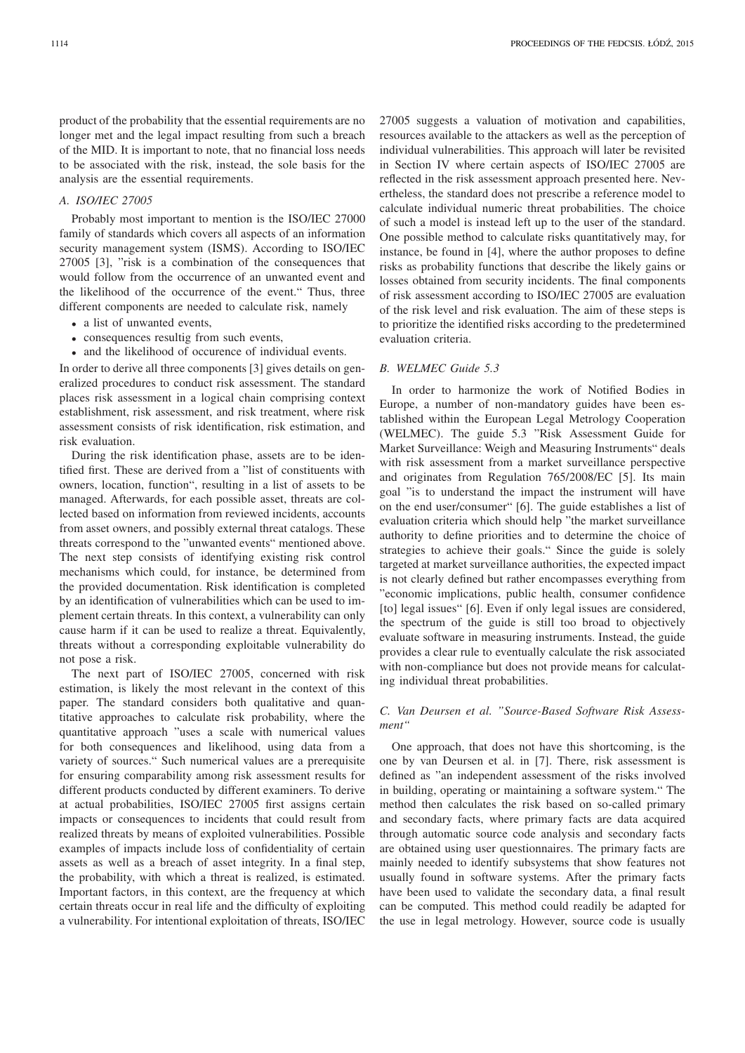product of the probability that the essential requirements are no longer met and the legal impact resulting from such a breach of the MID. It is important to note, that no financial loss needs to be associated with the risk, instead, the sole basis for the analysis are the essential requirements.

#### *A. ISO/IEC 27005*

Probably most important to mention is the ISO/IEC 27000 family of standards which covers all aspects of an information security management system (ISMS). According to ISO/IEC 27005 [3], "risk is a combination of the consequences that would follow from the occurrence of an unwanted event and the likelihood of the occurrence of the event." Thus, three different components are needed to calculate risk, namely

- a list of unwanted events,
- consequences resultig from such events,
- and the likelihood of occurence of individual events.

In order to derive all three components [3] gives details on generalized procedures to conduct risk assessment. The standard places risk assessment in a logical chain comprising context establishment, risk assessment, and risk treatment, where risk assessment consists of risk identification, risk estimation, and risk evaluation.

During the risk identification phase, assets are to be identified first. These are derived from a "list of constituents with owners, location, function", resulting in a list of assets to be managed. Afterwards, for each possible asset, threats are collected based on information from reviewed incidents, accounts from asset owners, and possibly external threat catalogs. These threats correspond to the "unwanted events" mentioned above. The next step consists of identifying existing risk control mechanisms which could, for instance, be determined from the provided documentation. Risk identification is completed by an identification of vulnerabilities which can be used to implement certain threats. In this context, a vulnerability can only cause harm if it can be used to realize a threat. Equivalently, threats without a corresponding exploitable vulnerability do not pose a risk.

The next part of ISO/IEC 27005, concerned with risk estimation, is likely the most relevant in the context of this paper. The standard considers both qualitative and quantitative approaches to calculate risk probability, where the quantitative approach "uses a scale with numerical values for both consequences and likelihood, using data from a variety of sources." Such numerical values are a prerequisite for ensuring comparability among risk assessment results for different products conducted by different examiners. To derive at actual probabilities, ISO/IEC 27005 first assigns certain impacts or consequences to incidents that could result from realized threats by means of exploited vulnerabilities. Possible examples of impacts include loss of confidentiality of certain assets as well as a breach of asset integrity. In a final step, the probability, with which a threat is realized, is estimated. Important factors, in this context, are the frequency at which certain threats occur in real life and the difficulty of exploiting a vulnerability. For intentional exploitation of threats, ISO/IEC 27005 suggests a valuation of motivation and capabilities, resources available to the attackers as well as the perception of individual vulnerabilities. This approach will later be revisited in Section IV where certain aspects of ISO/IEC 27005 are reflected in the risk assessment approach presented here. Nevertheless, the standard does not prescribe a reference model to calculate individual numeric threat probabilities. The choice of such a model is instead left up to the user of the standard. One possible method to calculate risks quantitatively may, for instance, be found in [4], where the author proposes to define risks as probability functions that describe the likely gains or losses obtained from security incidents. The final components of risk assessment according to ISO/IEC 27005 are evaluation of the risk level and risk evaluation. The aim of these steps is to prioritize the identified risks according to the predetermined evaluation criteria.

## *B. WELMEC Guide 5.3*

In order to harmonize the work of Notified Bodies in Europe, a number of non-mandatory guides have been established within the European Legal Metrology Cooperation (WELMEC). The guide 5.3 "Risk Assessment Guide for Market Surveillance: Weigh and Measuring Instruments" deals with risk assessment from a market surveillance perspective and originates from Regulation 765/2008/EC [5]. Its main goal "is to understand the impact the instrument will have on the end user/consumer" [6]. The guide establishes a list of evaluation criteria which should help "the market surveillance authority to define priorities and to determine the choice of strategies to achieve their goals." Since the guide is solely targeted at market surveillance authorities, the expected impact is not clearly defined but rather encompasses everything from "economic implications, public health, consumer confidence [to] legal issues" [6]. Even if only legal issues are considered, the spectrum of the guide is still too broad to objectively evaluate software in measuring instruments. Instead, the guide provides a clear rule to eventually calculate the risk associated with non-compliance but does not provide means for calculating individual threat probabilities.

## *C. Van Deursen et al. "Source-Based Software Risk Assessment"*

One approach, that does not have this shortcoming, is the one by van Deursen et al. in [7]. There, risk assessment is defined as "an independent assessment of the risks involved in building, operating or maintaining a software system." The method then calculates the risk based on so-called primary and secondary facts, where primary facts are data acquired through automatic source code analysis and secondary facts are obtained using user questionnaires. The primary facts are mainly needed to identify subsystems that show features not usually found in software systems. After the primary facts have been used to validate the secondary data, a final result can be computed. This method could readily be adapted for the use in legal metrology. However, source code is usually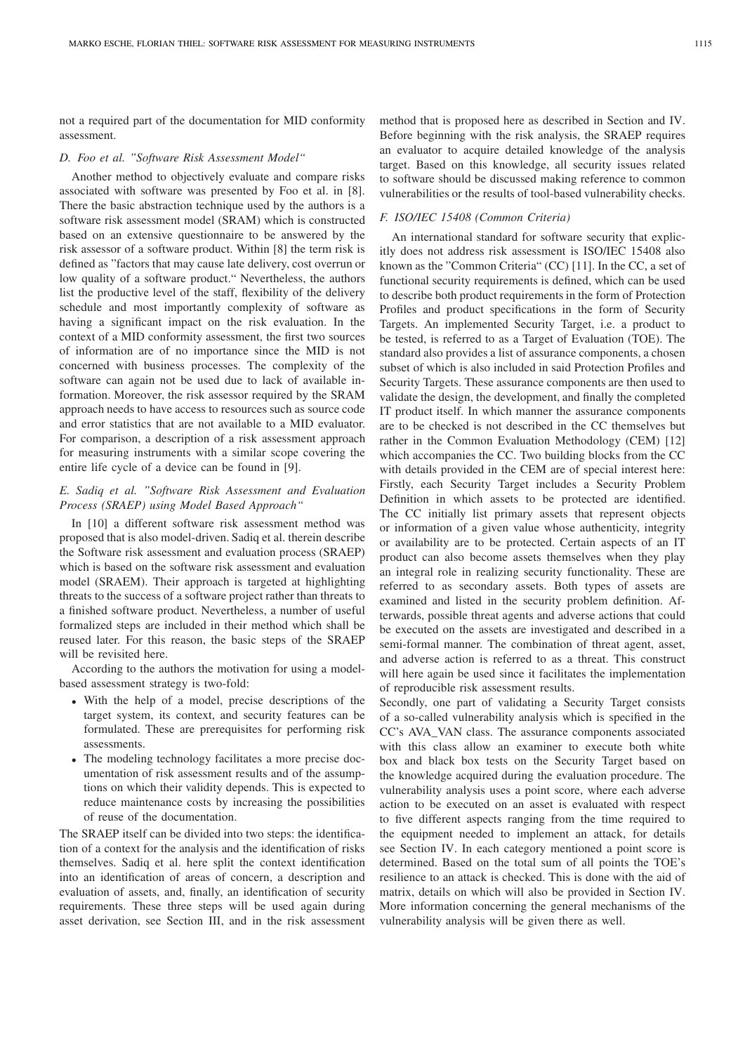not a required part of the documentation for MID conformity assessment.

#### *D. Foo et al. "Software Risk Assessment Model"*

Another method to objectively evaluate and compare risks associated with software was presented by Foo et al. in [8]. There the basic abstraction technique used by the authors is a software risk assessment model (SRAM) which is constructed based on an extensive questionnaire to be answered by the risk assessor of a software product. Within [8] the term risk is defined as "factors that may cause late delivery, cost overrun or low quality of a software product." Nevertheless, the authors list the productive level of the staff, flexibility of the delivery schedule and most importantly complexity of software as having a significant impact on the risk evaluation. In the context of a MID conformity assessment, the first two sources of information are of no importance since the MID is not concerned with business processes. The complexity of the software can again not be used due to lack of available information. Moreover, the risk assessor required by the SRAM approach needs to have access to resources such as source code and error statistics that are not available to a MID evaluator. For comparison, a description of a risk assessment approach for measuring instruments with a similar scope covering the entire life cycle of a device can be found in [9].

## *E. Sadiq et al. "Software Risk Assessment and Evaluation Process (SRAEP) using Model Based Approach"*

In [10] a different software risk assessment method was proposed that is also model-driven. Sadiq et al. therein describe the Software risk assessment and evaluation process (SRAEP) which is based on the software risk assessment and evaluation model (SRAEM). Their approach is targeted at highlighting threats to the success of a software project rather than threats to a finished software product. Nevertheless, a number of useful formalized steps are included in their method which shall be reused later. For this reason, the basic steps of the SRAEP will be revisited here.

According to the authors the motivation for using a modelbased assessment strategy is two-fold:

- With the help of a model, precise descriptions of the target system, its context, and security features can be formulated. These are prerequisites for performing risk assessments.
- The modeling technology facilitates a more precise documentation of risk assessment results and of the assumptions on which their validity depends. This is expected to reduce maintenance costs by increasing the possibilities of reuse of the documentation.

The SRAEP itself can be divided into two steps: the identification of a context for the analysis and the identification of risks themselves. Sadiq et al. here split the context identification into an identification of areas of concern, a description and evaluation of assets, and, finally, an identification of security requirements. These three steps will be used again during asset derivation, see Section III, and in the risk assessment

method that is proposed here as described in Section and IV. Before beginning with the risk analysis, the SRAEP requires an evaluator to acquire detailed knowledge of the analysis target. Based on this knowledge, all security issues related to software should be discussed making reference to common vulnerabilities or the results of tool-based vulnerability checks.

### *F. ISO/IEC 15408 (Common Criteria)*

An international standard for software security that explicitly does not address risk assessment is ISO/IEC 15408 also known as the "Common Criteria" (CC) [11]. In the CC, a set of functional security requirements is defined, which can be used to describe both product requirements in the form of Protection Profiles and product specifications in the form of Security Targets. An implemented Security Target, i.e. a product to be tested, is referred to as a Target of Evaluation (TOE). The standard also provides a list of assurance components, a chosen subset of which is also included in said Protection Profiles and Security Targets. These assurance components are then used to validate the design, the development, and finally the completed IT product itself. In which manner the assurance components are to be checked is not described in the CC themselves but rather in the Common Evaluation Methodology (CEM) [12] which accompanies the CC. Two building blocks from the CC with details provided in the CEM are of special interest here: Firstly, each Security Target includes a Security Problem Definition in which assets to be protected are identified. The CC initially list primary assets that represent objects or information of a given value whose authenticity, integrity or availability are to be protected. Certain aspects of an IT product can also become assets themselves when they play an integral role in realizing security functionality. These are referred to as secondary assets. Both types of assets are examined and listed in the security problem definition. Afterwards, possible threat agents and adverse actions that could be executed on the assets are investigated and described in a semi-formal manner. The combination of threat agent, asset, and adverse action is referred to as a threat. This construct will here again be used since it facilitates the implementation of reproducible risk assessment results.

Secondly, one part of validating a Security Target consists of a so-called vulnerability analysis which is specified in the CC's AVA\_VAN class. The assurance components associated with this class allow an examiner to execute both white box and black box tests on the Security Target based on the knowledge acquired during the evaluation procedure. The vulnerability analysis uses a point score, where each adverse action to be executed on an asset is evaluated with respect to five different aspects ranging from the time required to the equipment needed to implement an attack, for details see Section IV. In each category mentioned a point score is determined. Based on the total sum of all points the TOE's resilience to an attack is checked. This is done with the aid of matrix, details on which will also be provided in Section IV. More information concerning the general mechanisms of the vulnerability analysis will be given there as well.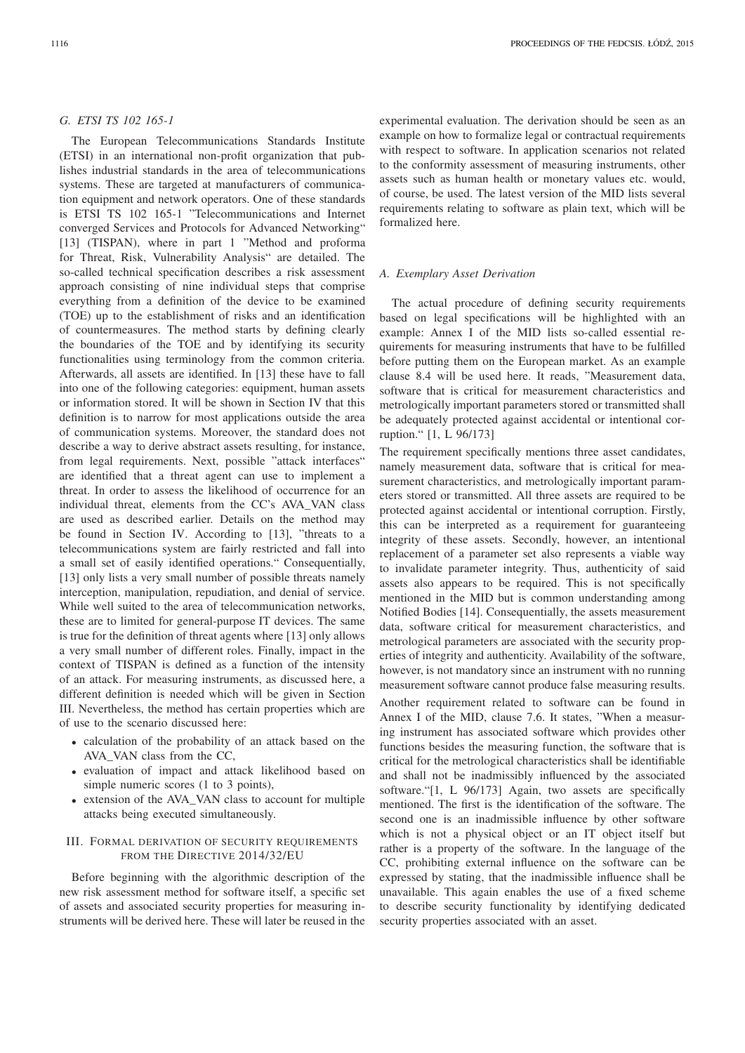## *G. ETSI TS 102 165-1*

The European Telecommunications Standards Institute (ETSI) in an international non-profit organization that publishes industrial standards in the area of telecommunications systems. These are targeted at manufacturers of communication equipment and network operators. One of these standards is ETSI TS 102 165-1 "Telecommunications and Internet converged Services and Protocols for Advanced Networking" [13] (TISPAN), where in part 1 "Method and proforma for Threat, Risk, Vulnerability Analysis" are detailed. The so-called technical specification describes a risk assessment approach consisting of nine individual steps that comprise everything from a definition of the device to be examined (TOE) up to the establishment of risks and an identification of countermeasures. The method starts by defining clearly the boundaries of the TOE and by identifying its security functionalities using terminology from the common criteria. Afterwards, all assets are identified. In [13] these have to fall into one of the following categories: equipment, human assets or information stored. It will be shown in Section IV that this definition is to narrow for most applications outside the area of communication systems. Moreover, the standard does not describe a way to derive abstract assets resulting, for instance, from legal requirements. Next, possible "attack interfaces" are identified that a threat agent can use to implement a threat. In order to assess the likelihood of occurrence for an individual threat, elements from the CC's AVA\_VAN class are used as described earlier. Details on the method may be found in Section IV. According to [13], "threats to a telecommunications system are fairly restricted and fall into a small set of easily identified operations." Consequentially, [13] only lists a very small number of possible threats namely interception, manipulation, repudiation, and denial of service. While well suited to the area of telecommunication networks, these are to limited for general-purpose IT devices. The same is true for the definition of threat agents where [13] only allows a very small number of different roles. Finally, impact in the context of TISPAN is defined as a function of the intensity of an attack. For measuring instruments, as discussed here, a different definition is needed which will be given in Section III. Nevertheless, the method has certain properties which are of use to the scenario discussed here:

- calculation of the probability of an attack based on the AVA\_VAN class from the CC,
- evaluation of impact and attack likelihood based on simple numeric scores (1 to 3 points),
- extension of the AVA\_VAN class to account for multiple attacks being executed simultaneously.

## III. FORMAL DERIVATION OF SECURITY REQUIREMENTS FROM THE DIRECTIVE 2014/32/EU

Before beginning with the algorithmic description of the new risk assessment method for software itself, a specific set of assets and associated security properties for measuring instruments will be derived here. These will later be reused in the experimental evaluation. The derivation should be seen as an example on how to formalize legal or contractual requirements with respect to software. In application scenarios not related to the conformity assessment of measuring instruments, other assets such as human health or monetary values etc. would, of course, be used. The latest version of the MID lists several requirements relating to software as plain text, which will be formalized here.

#### *A. Exemplary Asset Derivation*

The actual procedure of defining security requirements based on legal specifications will be highlighted with an example: Annex I of the MID lists so-called essential requirements for measuring instruments that have to be fulfilled before putting them on the European market. As an example clause 8.4 will be used here. It reads, "Measurement data, software that is critical for measurement characteristics and metrologically important parameters stored or transmitted shall be adequately protected against accidental or intentional corruption." [1, L 96/173]

The requirement specifically mentions three asset candidates, namely measurement data, software that is critical for measurement characteristics, and metrologically important parameters stored or transmitted. All three assets are required to be protected against accidental or intentional corruption. Firstly, this can be interpreted as a requirement for guaranteeing integrity of these assets. Secondly, however, an intentional replacement of a parameter set also represents a viable way to invalidate parameter integrity. Thus, authenticity of said assets also appears to be required. This is not specifically mentioned in the MID but is common understanding among Notified Bodies [14]. Consequentially, the assets measurement data, software critical for measurement characteristics, and metrological parameters are associated with the security properties of integrity and authenticity. Availability of the software, however, is not mandatory since an instrument with no running measurement software cannot produce false measuring results.

Another requirement related to software can be found in Annex I of the MID, clause 7.6. It states, "When a measuring instrument has associated software which provides other functions besides the measuring function, the software that is critical for the metrological characteristics shall be identifiable and shall not be inadmissibly influenced by the associated software. "[1, L 96/173] Again, two assets are specifically mentioned. The first is the identification of the software. The second one is an inadmissible influence by other software which is not a physical object or an IT object itself but rather is a property of the software. In the language of the CC, prohibiting external influence on the software can be expressed by stating, that the inadmissible influence shall be unavailable. This again enables the use of a fixed scheme to describe security functionality by identifying dedicated security properties associated with an asset.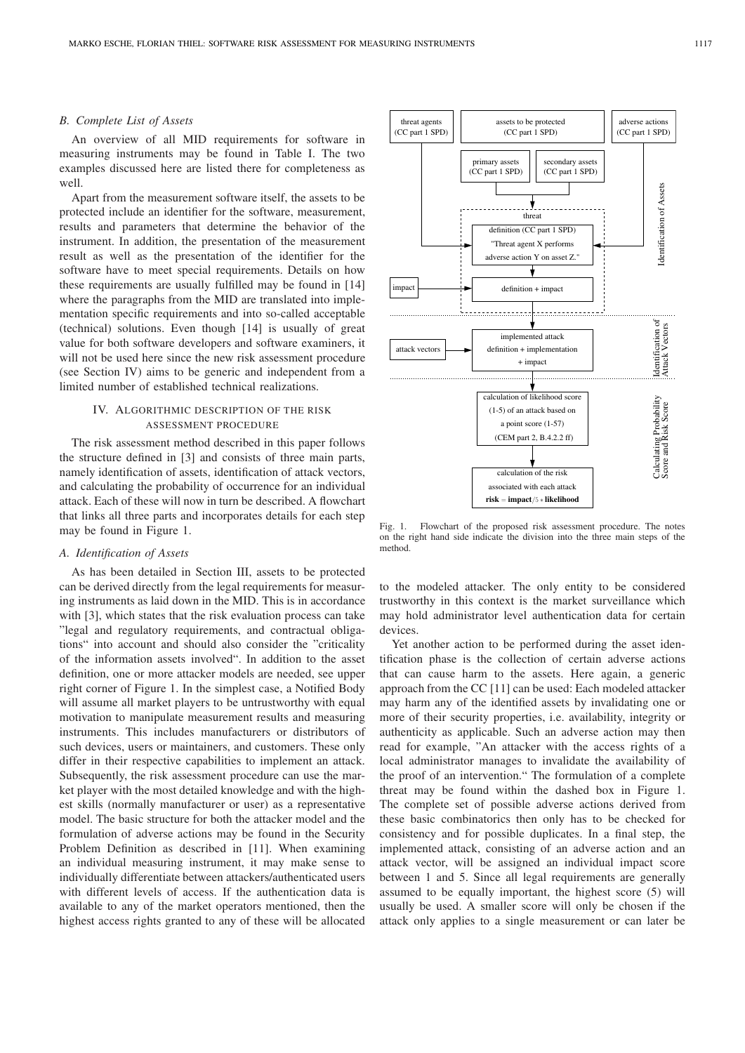#### *B. Complete List of Assets*

An overview of all MID requirements for software in measuring instruments may be found in Table I. The two examples discussed here are listed there for completeness as well.

Apart from the measurement software itself, the assets to be protected include an identifier for the software, measurement, results and parameters that determine the behavior of the instrument. In addition, the presentation of the measurement result as well as the presentation of the identifier for the software have to meet special requirements. Details on how these requirements are usually fulfilled may be found in [14] where the paragraphs from the MID are translated into implementation specific requirements and into so-called acceptable (technical) solutions. Even though [14] is usually of great value for both software developers and software examiners, it will not be used here since the new risk assessment procedure (see Section IV) aims to be generic and independent from a limited number of established technical realizations.

## IV. ALGORITHMIC DESCRIPTION OF THE RISK ASSESSMENT PROCEDURE

The risk assessment method described in this paper follows the structure defined in [3] and consists of three main parts, namely identification of assets, identification of attack vectors, and calculating the probability of occurrence for an individual attack. Each of these will now in turn be described. A flowchart that links all three parts and incorporates details for each step may be found in Figure 1.

#### *A. Identification of Assets*

As has been detailed in Section III, assets to be protected can be derived directly from the legal requirements for measuring instruments as laid down in the MID. This is in accordance with [3], which states that the risk evaluation process can take "legal and regulatory requirements, and contractual obligations" into account and should also consider the "criticality of the information assets involved". In addition to the asset definition, one or more attacker models are needed, see upper right corner of Figure 1. In the simplest case, a Notified Body will assume all market players to be untrustworthy with equal motivation to manipulate measurement results and measuring instruments. This includes manufacturers or distributors of such devices, users or maintainers, and customers. These only differ in their respective capabilities to implement an attack. Subsequently, the risk assessment procedure can use the market player with the most detailed knowledge and with the highest skills (normally manufacturer or user) as a representative model. The basic structure for both the attacker model and the formulation of adverse actions may be found in the Security Problem Definition as described in [11]. When examining an individual measuring instrument, it may make sense to individually differentiate between attackers/authenticated users with different levels of access. If the authentication data is available to any of the market operators mentioned, then the highest access rights granted to any of these will be allocated



Fig. 1. Flowchart of the proposed risk assessment procedure. The notes on the right hand side indicate the division into the three main steps of the method.

to the modeled attacker. The only entity to be considered trustworthy in this context is the market surveillance which may hold administrator level authentication data for certain devices.

Yet another action to be performed during the asset identification phase is the collection of certain adverse actions that can cause harm to the assets. Here again, a generic approach from the CC [11] can be used: Each modeled attacker may harm any of the identified assets by invalidating one or more of their security properties, i.e. availability, integrity or authenticity as applicable. Such an adverse action may then read for example, "An attacker with the access rights of a local administrator manages to invalidate the availability of the proof of an intervention." The formulation of a complete threat may be found within the dashed box in Figure 1. The complete set of possible adverse actions derived from these basic combinatorics then only has to be checked for consistency and for possible duplicates. In a final step, the implemented attack, consisting of an adverse action and an attack vector, will be assigned an individual impact score between 1 and 5. Since all legal requirements are generally assumed to be equally important, the highest score (5) will usually be used. A smaller score will only be chosen if the attack only applies to a single measurement or can later be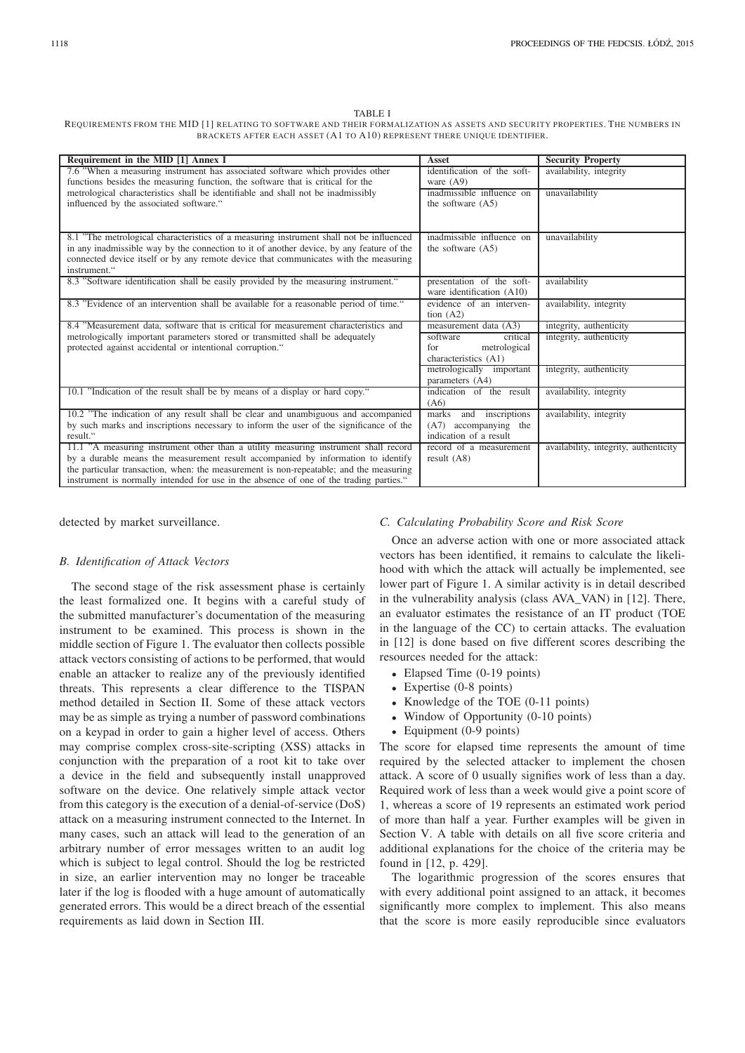#### TABLE I

REQUIREMENTS FROM THE MID [1] RELATING TO SOFTWARE AND THEIR FORMALIZATION AS ASSETS AND SECURITY PROPERTIES. THE NUMBERS IN BRACKETS AFTER EACH ASSET (A1 TO A10) REPRESENT THERE UNIQUE IDENTIFIER.

| Requirement in the MID [1] Annex I                                                                 | Asset                                           | <b>Security Property</b>              |
|----------------------------------------------------------------------------------------------------|-------------------------------------------------|---------------------------------------|
| 7.6 "When a measuring instrument has associated software which provides other                      | identification of the soft-                     | availability, integrity               |
| functions besides the measuring function, the software that is critical for the                    | ware $(A9)$                                     |                                       |
| metrological characteristics shall be identifiable and shall not be inadmissibly                   | inadmissible influence on                       | unavailability                        |
| influenced by the associated software."                                                            | the software $(A5)$                             |                                       |
|                                                                                                    |                                                 |                                       |
| 8.1 "The metrological characteristics of a measuring instrument shall not be influenced            | inadmissible influence on                       | unavailability                        |
| in any inadmissible way by the connection to it of another device, by any feature of the           | the software $(A5)$                             |                                       |
| connected device itself or by any remote device that communicates with the measuring               |                                                 |                                       |
| instrument."                                                                                       |                                                 |                                       |
| 8.3 "Software identification shall be easily provided by the measuring instrument."                | presentation of the soft-                       | availability                          |
|                                                                                                    | ware identification (A10)                       |                                       |
| 8.3 "Evidence of an intervention shall be available for a reasonable period of time."              | evidence of an interven-                        | availability, integrity               |
|                                                                                                    | tion $(A2)$                                     |                                       |
| 8.4 "Measurement data, software that is critical for measurement characteristics and               | measurement data (A3)                           | integrity, authenticity               |
| metrologically important parameters stored or transmitted shall be adequately                      | software<br>critical                            | integrity, authenticity               |
| protected against accidental or intentional corruption."                                           | metrological<br>for                             |                                       |
|                                                                                                    | characteristics (A1)                            |                                       |
|                                                                                                    | metrologically<br>important                     | integrity, authenticity               |
|                                                                                                    | parameters (A4)                                 |                                       |
| 10.1 "Indication of the result shall be by means of a display or hard copy."                       | indication of the result                        | availability, integrity               |
|                                                                                                    | (A6)                                            |                                       |
| 10.2 "The indication of any result shall be clear and unambiguous and accompanied                  | and inscriptions<br>marks                       | availability, integrity               |
| by such marks and inscriptions necessary to inform the user of the significance of the<br>result." | (A7) accompanying the<br>indication of a result |                                       |
| 11.1 "A measuring instrument other than a utility measuring instrument shall record                | record of a measurement                         | availability, integrity, authenticity |
| by a durable means the measurement result accompanied by information to identify                   | result $(AB)$                                   |                                       |
| the particular transaction, when: the measurement is non-repeatable; and the measuring             |                                                 |                                       |
| instrument is normally intended for use in the absence of one of the trading parties."             |                                                 |                                       |
|                                                                                                    |                                                 |                                       |

detected by market surveillance.

#### *B. Identification of Attack Vectors*

The second stage of the risk assessment phase is certainly the least formalized one. It begins with a careful study of the submitted manufacturer's documentation of the measuring instrument to be examined. This process is shown in the middle section of Figure 1. The evaluator then collects possible attack vectors consisting of actions to be performed, that would enable an attacker to realize any of the previously identified threats. This represents a clear difference to the TISPAN method detailed in Section II. Some of these attack vectors may be as simple as trying a number of password combinations on a keypad in order to gain a higher level of access. Others may comprise complex cross-site-scripting (XSS) attacks in conjunction with the preparation of a root kit to take over a device in the field and subsequently install unapproved software on the device. One relatively simple attack vector from this category is the execution of a denial-of-service (DoS) attack on a measuring instrument connected to the Internet. In many cases, such an attack will lead to the generation of an arbitrary number of error messages written to an audit log which is subject to legal control. Should the log be restricted in size, an earlier intervention may no longer be traceable later if the log is flooded with a huge amount of automatically generated errors. This would be a direct breach of the essential requirements as laid down in Section III.

#### *C. Calculating Probability Score and Risk Score*

Once an adverse action with one or more associated attack vectors has been identified, it remains to calculate the likelihood with which the attack will actually be implemented, see lower part of Figure 1. A similar activity is in detail described in the vulnerability analysis (class AVA\_VAN) in [12]. There, an evaluator estimates the resistance of an IT product (TOE in the language of the CC) to certain attacks. The evaluation in [12] is done based on five different scores describing the resources needed for the attack:

- Elapsed Time (0-19 points)
- Expertise (0-8 points)
- Knowledge of the TOE (0-11 points)
- Window of Opportunity (0-10 points)
- Equipment (0-9 points)

The score for elapsed time represents the amount of time required by the selected attacker to implement the chosen attack. A score of 0 usually signifies work of less than a day. Required work of less than a week would give a point score of 1, whereas a score of 19 represents an estimated work period of more than half a year. Further examples will be given in Section V. A table with details on all five score criteria and additional explanations for the choice of the criteria may be found in [12, p. 429].

The logarithmic progression of the scores ensures that with every additional point assigned to an attack, it becomes significantly more complex to implement. This also means that the score is more easily reproducible since evaluators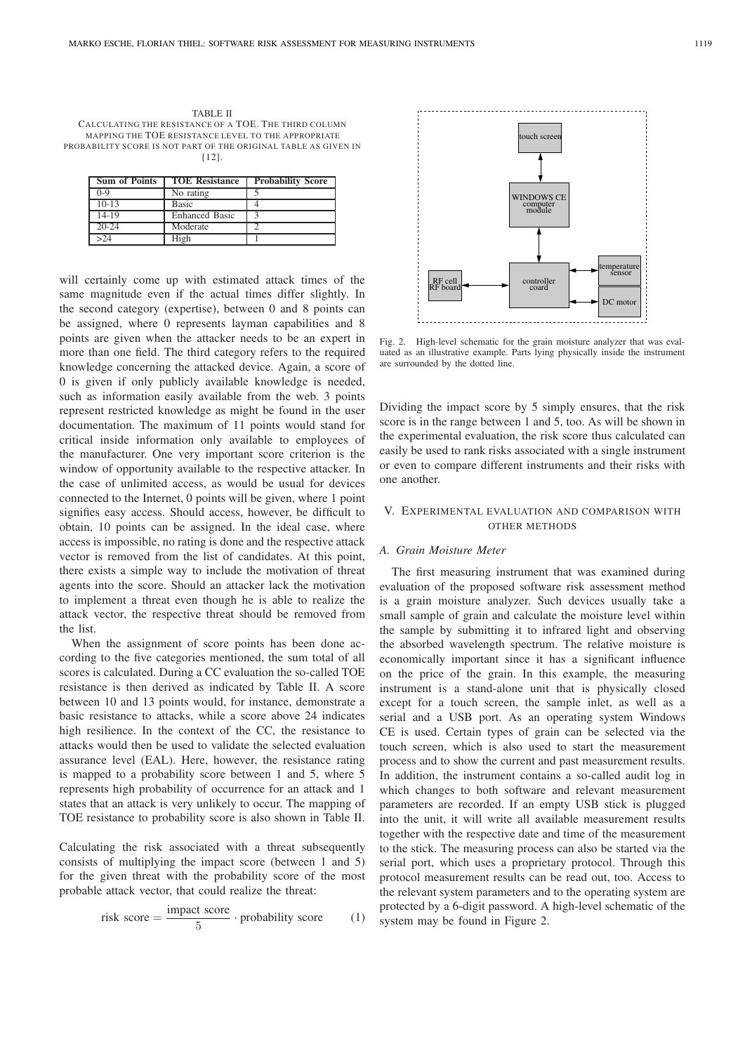TABLE II CALCULATING THE RESISTANCE OF A TOE. THE THIRD COLUMN MAPPING THE TOE RESISTANCE LEVEL TO THE APPROPRIATE PROBABILITY SCORE IS NOT PART OF THE ORIGINAL TABLE AS GIVEN IN [12].

| <b>Sum of Points</b> | <b>TOE Resistance</b> | <b>Probability Score</b> |
|----------------------|-----------------------|--------------------------|
| $0 - 9$              | No rating             |                          |
| $10-13$              | <b>Basic</b>          |                          |
| 14-19                | <b>Enhanced Basic</b> |                          |
| $20 - 24$            | Moderate              |                          |
| >24                  | High                  |                          |

will certainly come up with estimated attack times of the same magnitude even if the actual times differ slightly. In the second category (expertise), between 0 and 8 points can be assigned, where 0 represents layman capabilities and 8 points are given when the attacker needs to be an expert in more than one field. The third category refers to the required knowledge concerning the attacked device. Again, a score of 0 is given if only publicly available knowledge is needed, such as information easily available from the web. 3 points represent restricted knowledge as might be found in the user documentation. The maximum of 11 points would stand for critical inside information only available to employees of the manufacturer. One very important score criterion is the window of opportunity available to the respective attacker. In the case of unlimited access, as would be usual for devices connected to the Internet, 0 points will be given, where 1 point signifies easy access. Should access, however, be difficult to obtain, 10 points can be assigned. In the ideal case, where access is impossible, no rating is done and the respective attack vector is removed from the list of candidates. At this point, there exists a simple way to include the motivation of threat agents into the score. Should an attacker lack the motivation to implement a threat even though he is able to realize the attack vector, the respective threat should be removed from the list.

When the assignment of score points has been done according to the five categories mentioned, the sum total of all scores is calculated. During a CC evaluation the so-called TOE resistance is then derived as indicated by Table II. A score between 10 and 13 points would, for instance, demonstrate a basic resistance to attacks, while a score above 24 indicates high resilience. In the context of the CC, the resistance to attacks would then be used to validate the selected evaluation assurance level (EAL). Here, however, the resistance rating is mapped to a probability score between 1 and 5, where 5 represents high probability of occurrence for an attack and 1 states that an attack is very unlikely to occur. The mapping of TOE resistance to probability score is also shown in Table II.

Calculating the risk associated with a threat subsequently consists of multiplying the impact score (between 1 and 5) for the given threat with the probability score of the most probable attack vector, that could realize the threat:

risk score = 
$$
\frac{\text{impact score}}{5} \cdot \text{probability score}
$$
 (1)



Fig. 2. High-level schematic for the grain moisture analyzer that was evaluated as an illustrative example. Parts lying physically inside the instrument are surrounded by the dotted line.

Dividing the impact score by 5 simply ensures, that the risk score is in the range between 1 and 5, too. As will be shown in the experimental evaluation, the risk score thus calculated can easily be used to rank risks associated with a single instrument or even to compare different instruments and their risks with one another.

## V. EXPERIMENTAL EVALUATION AND COMPARISON WITH OTHER METHODS

#### *A. Grain Moisture Meter*

The first measuring instrument that was examined during evaluation of the proposed software risk assessment method is a grain moisture analyzer. Such devices usually take a small sample of grain and calculate the moisture level within the sample by submitting it to infrared light and observing the absorbed wavelength spectrum. The relative moisture is economically important since it has a significant influence on the price of the grain. In this example, the measuring instrument is a stand-alone unit that is physically closed except for a touch screen, the sample inlet, as well as a serial and a USB port. As an operating system Windows CE is used. Certain types of grain can be selected via the touch screen, which is also used to start the measurement process and to show the current and past measurement results. In addition, the instrument contains a so-called audit log in which changes to both software and relevant measurement parameters are recorded. If an empty USB stick is plugged into the unit, it will write all available measurement results together with the respective date and time of the measurement to the stick. The measuring process can also be started via the serial port, which uses a proprietary protocol. Through this protocol measurement results can be read out, too. Access to the relevant system parameters and to the operating system are protected by a 6-digit password. A high-level schematic of the system may be found in Figure 2.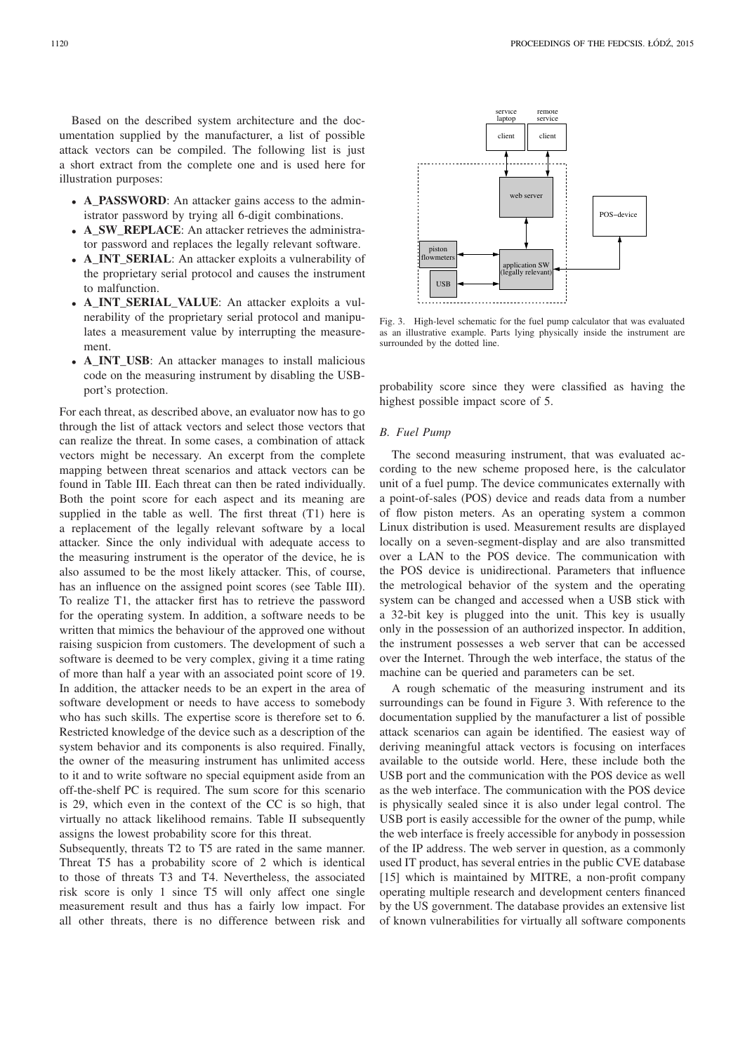Based on the described system architecture and the documentation supplied by the manufacturer, a list of possible attack vectors can be compiled. The following list is just a short extract from the complete one and is used here for illustration purposes:

- A\_PASSWORD: An attacker gains access to the administrator password by trying all 6-digit combinations.
- A\_SW\_REPLACE: An attacker retrieves the administrator password and replaces the legally relevant software.
- A\_INT\_SERIAL: An attacker exploits a vulnerability of the proprietary serial protocol and causes the instrument to malfunction.
- A\_INT\_SERIAL\_VALUE: An attacker exploits a vulnerability of the proprietary serial protocol and manipulates a measurement value by interrupting the measurement.
- A\_INT\_USB: An attacker manages to install malicious code on the measuring instrument by disabling the USBport's protection.

For each threat, as described above, an evaluator now has to go through the list of attack vectors and select those vectors that can realize the threat. In some cases, a combination of attack vectors might be necessary. An excerpt from the complete mapping between threat scenarios and attack vectors can be found in Table III. Each threat can then be rated individually. Both the point score for each aspect and its meaning are supplied in the table as well. The first threat (T1) here is a replacement of the legally relevant software by a local attacker. Since the only individual with adequate access to the measuring instrument is the operator of the device, he is also assumed to be the most likely attacker. This, of course, has an influence on the assigned point scores (see Table III). To realize T1, the attacker first has to retrieve the password for the operating system. In addition, a software needs to be written that mimics the behaviour of the approved one without raising suspicion from customers. The development of such a software is deemed to be very complex, giving it a time rating of more than half a year with an associated point score of 19. In addition, the attacker needs to be an expert in the area of software development or needs to have access to somebody who has such skills. The expertise score is therefore set to 6. Restricted knowledge of the device such as a description of the system behavior and its components is also required. Finally, the owner of the measuring instrument has unlimited access to it and to write software no special equipment aside from an off-the-shelf PC is required. The sum score for this scenario is 29, which even in the context of the CC is so high, that virtually no attack likelihood remains. Table II subsequently assigns the lowest probability score for this threat.

Subsequently, threats T2 to T5 are rated in the same manner. Threat T5 has a probability score of 2 which is identical to those of threats T3 and T4. Nevertheless, the associated risk score is only 1 since T5 will only affect one single measurement result and thus has a fairly low impact. For all other threats, there is no difference between risk and



Fig. 3. High-level schematic for the fuel pump calculator that was evaluated as an illustrative example. Parts lying physically inside the instrument are surrounded by the dotted line.

probability score since they were classified as having the highest possible impact score of 5.

#### *B. Fuel Pump*

The second measuring instrument, that was evaluated according to the new scheme proposed here, is the calculator unit of a fuel pump. The device communicates externally with a point-of-sales (POS) device and reads data from a number of flow piston meters. As an operating system a common Linux distribution is used. Measurement results are displayed locally on a seven-segment-display and are also transmitted over a LAN to the POS device. The communication with the POS device is unidirectional. Parameters that influence the metrological behavior of the system and the operating system can be changed and accessed when a USB stick with a 32-bit key is plugged into the unit. This key is usually only in the possession of an authorized inspector. In addition, the instrument possesses a web server that can be accessed over the Internet. Through the web interface, the status of the machine can be queried and parameters can be set.

A rough schematic of the measuring instrument and its surroundings can be found in Figure 3. With reference to the documentation supplied by the manufacturer a list of possible attack scenarios can again be identified. The easiest way of deriving meaningful attack vectors is focusing on interfaces available to the outside world. Here, these include both the USB port and the communication with the POS device as well as the web interface. The communication with the POS device is physically sealed since it is also under legal control. The USB port is easily accessible for the owner of the pump, while the web interface is freely accessible for anybody in possession of the IP address. The web server in question, as a commonly used IT product, has several entries in the public CVE database [15] which is maintained by MITRE, a non-profit company operating multiple research and development centers financed by the US government. The database provides an extensive list of known vulnerabilities for virtually all software components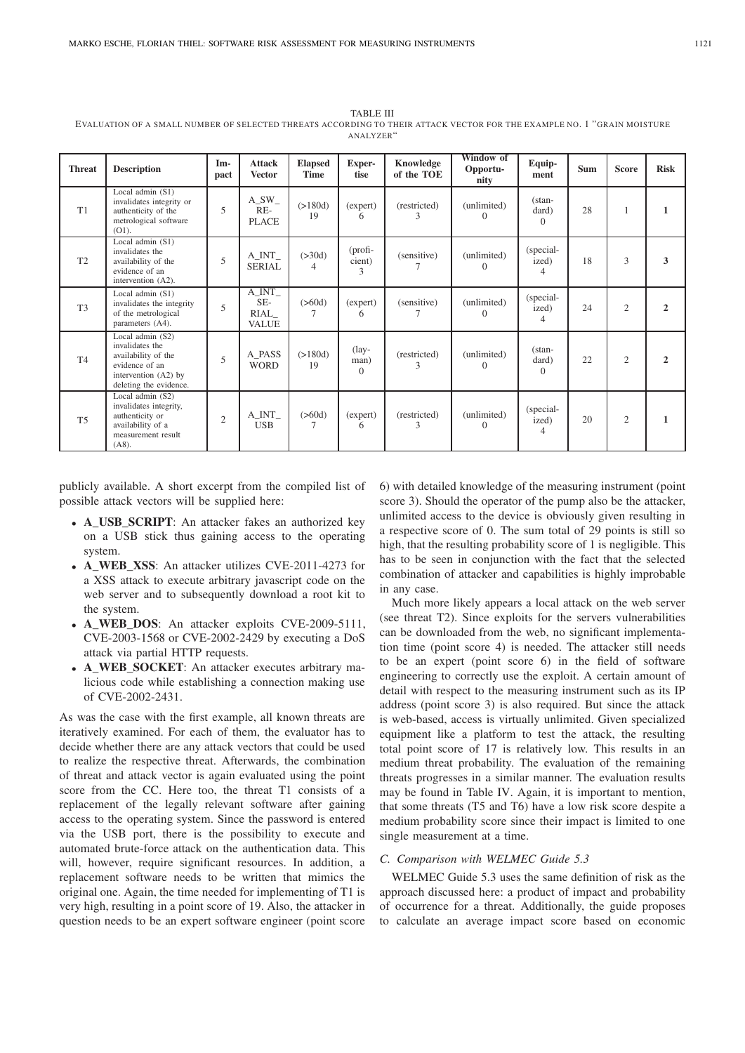| <b>Threat</b>  | <b>Description</b>                                                                                                             | I <sub>m</sub> -<br>pact | <b>Attack</b><br><b>Vector</b>        | <b>Elapsed</b><br>Time | Exper-<br>tise                          | Knowledge<br>of the TOE | Window of<br>Opportu-<br>nity | Equip-<br>ment                      | <b>Sum</b> | <b>Score</b>   | <b>Risk</b>  |
|----------------|--------------------------------------------------------------------------------------------------------------------------------|--------------------------|---------------------------------------|------------------------|-----------------------------------------|-------------------------|-------------------------------|-------------------------------------|------------|----------------|--------------|
| T1             | Local admin (S1)<br>invalidates integrity or<br>authenticity of the<br>metrological software<br>$(O1)$ .                       | 5                        | $A_SW$<br>$RE-$<br><b>PLACE</b>       | (>180d)<br>19          | (expert)<br>6                           | (restricted)<br>3       | (unlimited)<br>$\Omega$       | $(stan-$<br>dard)<br>$\Omega$       | 28         | 1              | 1            |
| T2             | Local admin (S1)<br>invalidates the<br>availability of the<br>evidence of an<br>intervention (A2).                             | 5                        | A INT<br><b>SERIAL</b>                | (>30d)<br>4            | (profi-<br>cient)<br>3                  | (sensitive)             | (unlimited)<br>$\Omega$       | (special-<br>ized)<br>4             | 18         | 3              | 3            |
| T <sub>3</sub> | Local admin $(S1)$<br>invalidates the integrity<br>of the metrological<br>parameters (A4).                                     | 5                        | A_INT_<br>SE-<br>RIAL<br><b>VALUE</b> | ( > 60d)<br>7          | (expert)<br>6                           | (sensitive)             | (unlimited)<br>$\Omega$       | (special-<br>ized)<br>4             | 24         | $\mathfrak{2}$ | $\mathbf{2}$ |
| T <sub>4</sub> | Local admin (S2)<br>invalidates the<br>availability of the<br>evidence of an<br>intervention (A2) by<br>deleting the evidence. | 5                        | A PASS<br><b>WORD</b>                 | (>180d)<br>19          | $\frac{1}{2}$<br>man)<br>$\overline{0}$ | (restricted)<br>3       | (unlimited)<br>$\Omega$       | $(stan-$<br>dard)<br>$\overline{0}$ | 22         | $\overline{2}$ | $\mathbf{2}$ |
| <b>T5</b>      | Local admin (S2)<br>invalidates integrity,<br>authenticity or<br>availability of a<br>measurement result<br>$(AB)$ .           | $\overline{2}$           | A_INT_<br><b>USB</b>                  | ( > 60d)               | (expert)<br>6                           | (restricted)<br>3       | (unlimited)<br>$\Omega$       | (special-<br>ized)<br>4             | 20         | $\overline{2}$ | 1            |

TABLE III EVALUATION OF A SMALL NUMBER OF SELECTED THREATS ACCORDING TO THEIR ATTACK VECTOR FOR THE EXAMPLE NO. 1 "GRAIN MOISTURE ANALYZER"

publicly available. A short excerpt from the compiled list of possible attack vectors will be supplied here:

- A\_USB\_SCRIPT: An attacker fakes an authorized key on a USB stick thus gaining access to the operating system.
- A\_WEB\_XSS: An attacker utilizes CVE-2011-4273 for a XSS attack to execute arbitrary javascript code on the web server and to subsequently download a root kit to the system.
- A WEB DOS: An attacker exploits CVE-2009-5111, CVE-2003-1568 or CVE-2002-2429 by executing a DoS attack via partial HTTP requests.
- A\_WEB\_SOCKET: An attacker executes arbitrary malicious code while establishing a connection making use of CVE-2002-2431.

As was the case with the first example, all known threats are iteratively examined. For each of them, the evaluator has to decide whether there are any attack vectors that could be used to realize the respective threat. Afterwards, the combination of threat and attack vector is again evaluated using the point score from the CC. Here too, the threat T1 consists of a replacement of the legally relevant software after gaining access to the operating system. Since the password is entered via the USB port, there is the possibility to execute and automated brute-force attack on the authentication data. This will, however, require significant resources. In addition, a replacement software needs to be written that mimics the original one. Again, the time needed for implementing of T1 is very high, resulting in a point score of 19. Also, the attacker in question needs to be an expert software engineer (point score

6) with detailed knowledge of the measuring instrument (point score 3). Should the operator of the pump also be the attacker, unlimited access to the device is obviously given resulting in a respective score of 0. The sum total of 29 points is still so high, that the resulting probability score of 1 is negligible. This has to be seen in conjunction with the fact that the selected combination of attacker and capabilities is highly improbable in any case.

Much more likely appears a local attack on the web server (see threat T2). Since exploits for the servers vulnerabilities can be downloaded from the web, no significant implementation time (point score 4) is needed. The attacker still needs to be an expert (point score 6) in the field of software engineering to correctly use the exploit. A certain amount of detail with respect to the measuring instrument such as its IP address (point score 3) is also required. But since the attack is web-based, access is virtually unlimited. Given specialized equipment like a platform to test the attack, the resulting total point score of 17 is relatively low. This results in an medium threat probability. The evaluation of the remaining threats progresses in a similar manner. The evaluation results may be found in Table IV. Again, it is important to mention, that some threats (T5 and T6) have a low risk score despite a medium probability score since their impact is limited to one single measurement at a time.

#### *C. Comparison with WELMEC Guide 5.3*

WELMEC Guide 5.3 uses the same definition of risk as the approach discussed here: a product of impact and probability of occurrence for a threat. Additionally, the guide proposes to calculate an average impact score based on economic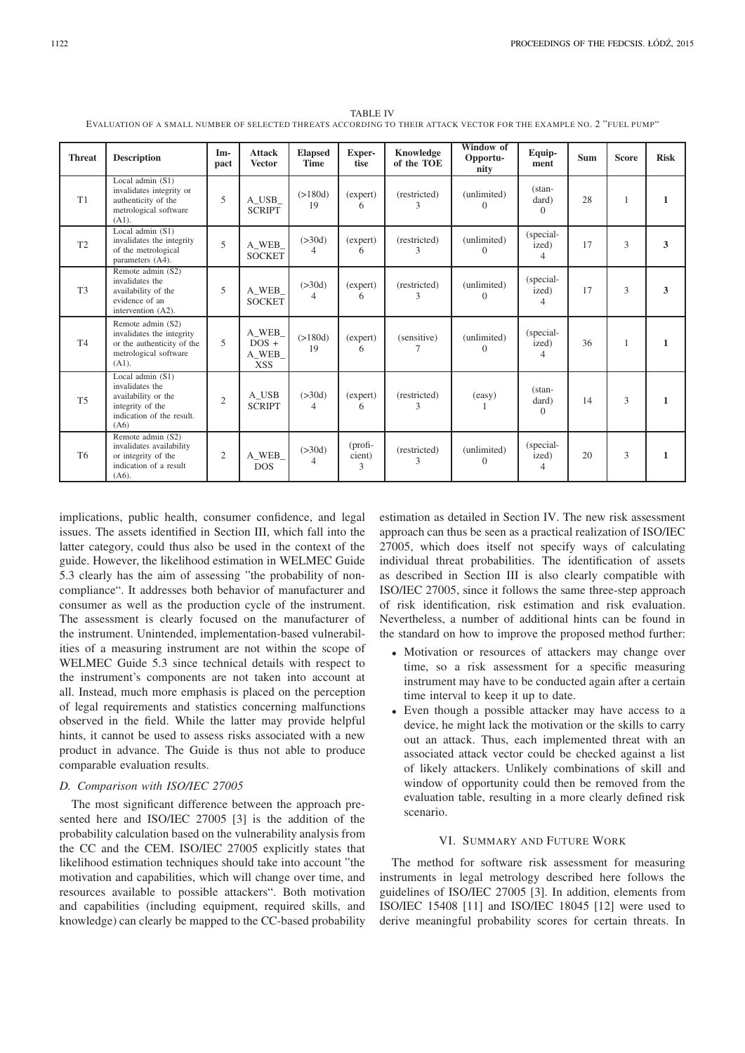TABLE IV EVALUATION OF A SMALL NUMBER OF SELECTED THREATS ACCORDING TO THEIR ATTACK VECTOR FOR THE EXAMPLE NO. 2 "FUEL PUMP"

| <b>Threat</b>  | <b>Description</b>                                                                                                  | I <sub>m</sub> -<br>pact | <b>Attack</b><br><b>Vector</b>          | <b>Elapsed</b><br><b>Time</b> | <b>Exper-</b><br>tise     | Knowledge<br>of the TOE | Window of<br>Opportu-<br>nity | Equip-<br>ment                       | <b>Sum</b> | <b>Score</b> | <b>Risk</b> |
|----------------|---------------------------------------------------------------------------------------------------------------------|--------------------------|-----------------------------------------|-------------------------------|---------------------------|-------------------------|-------------------------------|--------------------------------------|------------|--------------|-------------|
| T1             | Local admin $(S1)$<br>invalidates integrity or<br>authenticity of the<br>metrological software<br>$(A1)$ .          | 5                        | A_USB_<br><b>SCRIPT</b>                 | (>180d)<br>19                 | (expert)<br>6             | (restricted)<br>3       | (unlimited)<br>$\Omega$       | $(stan-$<br>dard)<br>$\Omega$        | 28         | 1            | 1           |
| T <sub>2</sub> | Local admin (S1)<br>invalidates the integrity<br>of the metrological<br>parameters (A4).                            | 5                        | A WEB<br><b>SOCKET</b>                  | (>30d)<br>$\overline{4}$      | (expert)<br>6             | (restricted)<br>3       | (unlimited)<br>$\Omega$       | (special-<br>ized)<br>4              | 17         | 3            | 3           |
| T <sub>3</sub> | Remote admin (S2)<br>invalidates the<br>availability of the<br>evidence of an<br>intervention (A2).                 | 5                        | A WEB<br><b>SOCKET</b>                  | ( >30d)<br>4                  | (expert)<br>6             | (restricted)<br>3       | (unlimited)                   | (special-<br>ized)<br>$\overline{4}$ | 17         | 3            | 3           |
| <b>T4</b>      | Remote admin (S2)<br>invalidates the integrity<br>or the authenticity of the<br>metrological software<br>$(A1)$ .   | $\overline{5}$           | A WEB<br>$DOS +$<br>A_WEB<br><b>XSS</b> | (>180d)<br>19                 | (expert)<br>6             | (sensitive)             | (unlimited)<br>0              | (special-<br>ized)<br>4              | 36         | 1            | 1           |
| <b>T5</b>      | Local admin (S1)<br>invalidates the<br>availability or the<br>integrity of the<br>indication of the result.<br>(A6) | $\overline{c}$           | A USB<br><b>SCRIPT</b>                  | ( >30d)<br>$\overline{4}$     | (expert)<br>6             | (restricted)<br>3       | (easy)                        | (stan-<br>dard)<br>$\Omega$          | 14         | 3            | 1           |
| T <sub>6</sub> | Remote admin (S2)<br>invalidates availability<br>or integrity of the<br>indication of a result<br>$(A6)$ .          | 2                        | A WEB<br><b>DOS</b>                     | ( >30d)<br>$\overline{4}$     | $(profit-$<br>cient)<br>3 | (restricted)<br>3       | (unlimited)<br>$\Omega$       | (special-<br>ized)<br>4              | 20         | 3            | 1           |

implications, public health, consumer confidence, and legal issues. The assets identified in Section III, which fall into the latter category, could thus also be used in the context of the guide. However, the likelihood estimation in WELMEC Guide 5.3 clearly has the aim of assessing "the probability of noncompliance". It addresses both behavior of manufacturer and consumer as well as the production cycle of the instrument. The assessment is clearly focused on the manufacturer of the instrument. Unintended, implementation-based vulnerabilities of a measuring instrument are not within the scope of WELMEC Guide 5.3 since technical details with respect to the instrument's components are not taken into account at all. Instead, much more emphasis is placed on the perception of legal requirements and statistics concerning malfunctions observed in the field. While the latter may provide helpful hints, it cannot be used to assess risks associated with a new product in advance. The Guide is thus not able to produce comparable evaluation results.

## *D. Comparison with ISO/IEC 27005*

The most significant difference between the approach presented here and ISO/IEC 27005 [3] is the addition of the probability calculation based on the vulnerability analysis from the CC and the CEM. ISO/IEC 27005 explicitly states that likelihood estimation techniques should take into account "the motivation and capabilities, which will change over time, and resources available to possible attackers". Both motivation and capabilities (including equipment, required skills, and knowledge) can clearly be mapped to the CC-based probability

estimation as detailed in Section IV. The new risk assessment approach can thus be seen as a practical realization of ISO/IEC 27005, which does itself not specify ways of calculating individual threat probabilities. The identification of assets as described in Section III is also clearly compatible with ISO/IEC 27005, since it follows the same three-step approach of risk identification, risk estimation and risk evaluation. Nevertheless, a number of additional hints can be found in the standard on how to improve the proposed method further:

- Motivation or resources of attackers may change over time, so a risk assessment for a specific measuring instrument may have to be conducted again after a certain time interval to keep it up to date.
- Even though a possible attacker may have access to a device, he might lack the motivation or the skills to carry out an attack. Thus, each implemented threat with an associated attack vector could be checked against a list of likely attackers. Unlikely combinations of skill and window of opportunity could then be removed from the evaluation table, resulting in a more clearly defined risk scenario.

## VI. SUMMARY AND FUTURE WORK

The method for software risk assessment for measuring instruments in legal metrology described here follows the guidelines of ISO/IEC 27005 [3]. In addition, elements from ISO/IEC 15408 [11] and ISO/IEC 18045 [12] were used to derive meaningful probability scores for certain threats. In